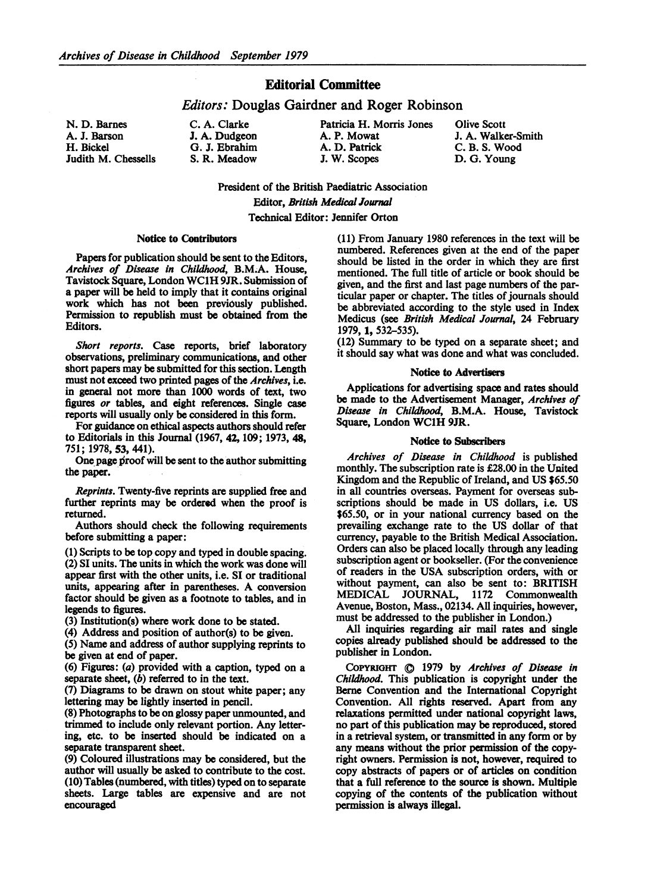## Editorial Committee

### Editors: Douglas Gairdner and Roger Robinson

N. D. Barnes A. J. Barson H. Bickel Judith M. Chessells

# **J. A. Dudgeon** A. P. Mowat **A. P. Mowat** J. A. Walker-Smith G. J. Ebrahim A. D. Patrick C. B. S. Wood G. J. Ebrahim A. D. Patrick C. B. S. Wood<br>
S. R. Meadow J. W. Scopes D. G. Young

C. A. Clarke Patricia H. Morris Jones Olive Scott

D. G. Young

President of the British Paediatric Association Editor, British Medical Joural Technical Editor: Jennifer Orton

#### Notice to Contributors

Papers for publication should be sent to the Editors, Archives of Disease in Childhood, B.M.A. House, Tavistock Square, London WClH 9JR. Submission of a paper will be held to imply that it contains original work which has not been previously published. Permission to republish must be obtained from the Editors.

Short reports. Case reports, brief laboratory observations, preliminary communications, and other short papers may be submitted for this section. Length must not exceed two printed pages of the Archives, i.e. in general not more than 1000 words of text, two figures or tables, and eight references. Single case reports will usually only be considered in this form.

For guidance on ethical aspects authors should refer to Editorials in this Journal (1967, 42, 109; 1973, 48, 751; 1978, 53, 441).

One page proof will be sent to the author submitting the paper.

Reprints. Twenty-five reprints are supplied free and further reprints may be ordered when the proof is returned.

Authors should check the following requirements before submitting a paper:

(1) Scripts to be top copy and typed in double spacing. (2) SI units. The units in which the work was done will appear first with the other units, i.e. SI or traditional units, appearing after in parentheses. A conversion factor should be given as a footnote to tables, and in legends to figures.

(3) Institution(s) where work done to be stated.

(4) Address and position of author(s) to be given.

(5) Name and address of author supplying reprints to be given at end of paper.

(6) Figures: (a) provided with a caption, typed on a separate sheet, (b) referred to in the text.

(7) Diagrams to be drawn on stout white paper; any lettering may be lightly inserted in pencil.

(8) Photographs to be on glossy paper unmounted, and trimmed to include only relevant portion. Any lettering, etc. to be inserted should be indicated on a separate transparent sheet.

(9) Coloured illustrations may be considered, but the author will usually be asked to contribute to the cost. (10) Tables (numbered, with titles) typed on to separate sheets. Large tables are expensive and are not encouraged

(11) From January 1980 references in the text will be numbered. References given at the end of the paper should be listed in the order in which they are first mentioned. The full title of article or book should be given, and the first and last page numbers of the particular paper or chapter. The titles of journals should be abbreviated according to the style used in Index Medicus (see British Medical Journal, 24 February 1979, 1, 532-535).

(12) Summary to be typed on a separate sheet; and it should say what was done and what was concluded.

#### Notice to Advertisers

Applications for advertising space and rates should be made to the Advertisement Manager, Archives of Disease in Childhood, B.M.A. House, Tavistock Square, London WC1H 9JR.

#### Notice to Subscribers

Archives of Disease in Childhood is published monthly. The subscription rate is £28.00 in the United Kingdom and the Republic of Ireland, and US \$65.50 in all countries overseas. Payment for overseas subscriptions should be made in US dollars, i.e. US \$65.50, or in your national currency based on the prevailing exchange rate to the US dollar of that currency, payable to the British Medical Association. Orders can also be placed locally through any leading subscription agent or bookseller. (For the convenience of readers in the USA subscription orders, with or without payment, can also be sent to: BRITISH MEDICAL JOURNAL, <sup>1172</sup> Commonwealth Avenue, Boston, Mass., 02134. All inquiries, however, must be addressed to the publisher in London.)

All inquiries regarding air mail rates and single copies already published should be addressed to the publisher in London.

COPYRIGHT  $\bigcirc$  1979 by Archives of Disease in Childhood. This publication is copyright under the Berne Convention and the International Copyright Convention. All rights reserved. Apart from any relaxations permitted under national copyright laws, no part of this publication may be reproduced, stored in a retrieval system, or transmitted in any form or by any means without the prior permission of the copyright owners. Permission is not, however, required to copy abstracts of papers or of articles on condition that a full reference to the source is shown. Multiple copying of the contents of the publication without permission is always illegal.